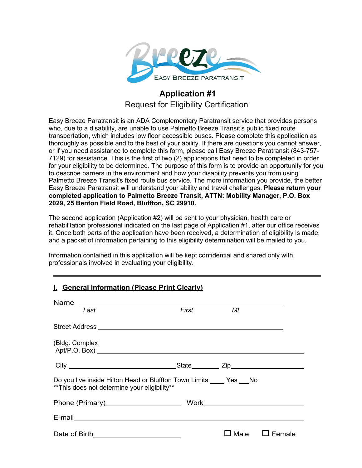

### **Application #1** Request for Eligibility Certification

Easy Breeze Paratransit is an ADA Complementary Paratransit service that provides persons who, due to a disability, are unable to use Palmetto Breeze Transit's public fixed route transportation, which includes low floor accessible buses. Please complete this application as thoroughly as possible and to the best of your ability. If there are questions you cannot answer, or if you need assistance to complete this form, please call Easy Breeze Paratransit (843-757- 7129) for assistance. This is the first of two (2) applications that need to be completed in order for your eligibility to be determined. The purpose of this form is to provide an opportunity for you to describe barriers in the environment and how your disability prevents you from using Palmetto Breeze Transit's fixed route bus service. The more information you provide, the better Easy Breeze Paratransit will understand your ability and travel challenges. **Please return your completed application to Palmetto Breeze Transit, ATTN: Mobility Manager, P.O. Box 2029, 25 Benton Field Road, Bluffton, SC 29910.**

The second application (Application #2) will be sent to your physician, health care or rehabilitation professional indicated on the last page of Application #1, after our office receives it. Once both parts of the application have been received, a determination of eligibility is made, and a packet of information pertaining to this eligibility determination will be mailed to you.

Information contained in this application will be kept confidential and shared only with professionals involved in evaluating your eligibility.

| I. General Information (Please Print Clearly)                                                                  |       |    |                           |  |
|----------------------------------------------------------------------------------------------------------------|-------|----|---------------------------|--|
| Last                                                                                                           | First | МI |                           |  |
|                                                                                                                |       |    |                           |  |
| (Bldg. Complex                                                                                                 |       |    |                           |  |
|                                                                                                                |       |    |                           |  |
| Do you live inside Hilton Head or Bluffton Town Limits Yes No<br>** This does not determine your eligibility** |       |    |                           |  |
|                                                                                                                |       |    |                           |  |
|                                                                                                                |       |    |                           |  |
|                                                                                                                |       |    | $\Box$ Male $\Box$ Female |  |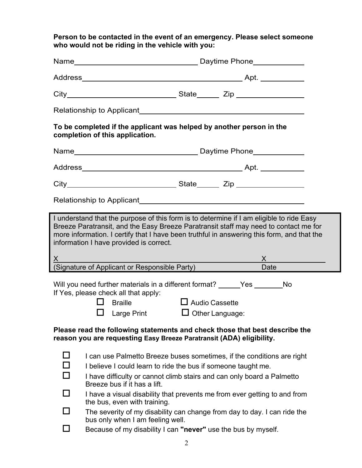**Person to be contacted in the event of an emergency. Please select someone who would not be riding in the vehicle with you:**

| To be completed if the applicant was helped by another person in the<br>completion of this application.                                                                                                                                                                                                                   |                                                                                                                                                                                                                                                                                                                                |  |  |  |
|---------------------------------------------------------------------------------------------------------------------------------------------------------------------------------------------------------------------------------------------------------------------------------------------------------------------------|--------------------------------------------------------------------------------------------------------------------------------------------------------------------------------------------------------------------------------------------------------------------------------------------------------------------------------|--|--|--|
|                                                                                                                                                                                                                                                                                                                           | Name <b>Name Contract Contract Contract Contract Contract Contract Contract Contract Contract Contract Contract Contract Contract Contract Contract Contract Contract Contract Contract Contract Contract Contract Contract Cont</b>                                                                                           |  |  |  |
|                                                                                                                                                                                                                                                                                                                           |                                                                                                                                                                                                                                                                                                                                |  |  |  |
|                                                                                                                                                                                                                                                                                                                           |                                                                                                                                                                                                                                                                                                                                |  |  |  |
|                                                                                                                                                                                                                                                                                                                           |                                                                                                                                                                                                                                                                                                                                |  |  |  |
| I understand that the purpose of this form is to determine if I am eligible to ride Easy<br>Breeze Paratransit, and the Easy Breeze Paratransit staff may need to contact me for<br>more information. I certify that I have been truthful in answering this form, and that the<br>information I have provided is correct. |                                                                                                                                                                                                                                                                                                                                |  |  |  |
|                                                                                                                                                                                                                                                                                                                           |                                                                                                                                                                                                                                                                                                                                |  |  |  |
|                                                                                                                                                                                                                                                                                                                           | X<br>(Signature of Applicant or Responsible Party)<br>Date                                                                                                                                                                                                                                                                     |  |  |  |
|                                                                                                                                                                                                                                                                                                                           | Will you need further materials in a different format? _____Yes _______No<br>If Yes, please check all that apply:<br>$\Box$ Braille<br>$\Box$ Audio Cassette<br>Large Print<br>$\Box$ Other Language:                                                                                                                          |  |  |  |
| Please read the following statements and check those that best describe the<br>reason you are requesting Easy Breeze Paratransit (ADA) eligibility.                                                                                                                                                                       |                                                                                                                                                                                                                                                                                                                                |  |  |  |
| $\Box$<br>□<br>$\Box$<br>П                                                                                                                                                                                                                                                                                                | I can use Palmetto Breeze buses sometimes, if the conditions are right<br>I believe I could learn to ride the bus if someone taught me.<br>I have difficulty or cannot climb stairs and can only board a Palmetto<br>Breeze bus if it has a lift.<br>I have a visual disability that prevents me from ever getting to and from |  |  |  |
| П                                                                                                                                                                                                                                                                                                                         | the bus, even with training.<br>The severity of my disability can change from day to day. I can ride the<br>bus only when I am feeling well.                                                                                                                                                                                   |  |  |  |
|                                                                                                                                                                                                                                                                                                                           | Because of my disability I can "never" use the bus by myself.                                                                                                                                                                                                                                                                  |  |  |  |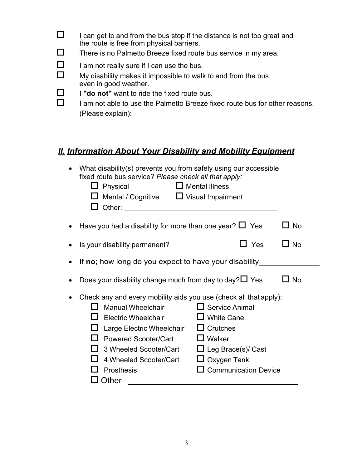|           | I can get to and from the bus stop if the distance is not too great and<br>the route is free from physical barriers.                                                                                                                 |  |  |
|-----------|--------------------------------------------------------------------------------------------------------------------------------------------------------------------------------------------------------------------------------------|--|--|
|           | There is no Palmetto Breeze fixed route bus service in my area.                                                                                                                                                                      |  |  |
|           | I am not really sure if I can use the bus.                                                                                                                                                                                           |  |  |
|           | My disability makes it impossible to walk to and from the bus,                                                                                                                                                                       |  |  |
|           | even in good weather.<br>I "do not" want to ride the fixed route bus.                                                                                                                                                                |  |  |
|           | I am not able to use the Palmetto Breeze fixed route bus for other reasons.                                                                                                                                                          |  |  |
|           | (Please explain):                                                                                                                                                                                                                    |  |  |
|           |                                                                                                                                                                                                                                      |  |  |
|           |                                                                                                                                                                                                                                      |  |  |
|           | <u>II. Information About Your Disability and Mobility Equipment</u>                                                                                                                                                                  |  |  |
| $\bullet$ | What disability(s) prevents you from safely using our accessible                                                                                                                                                                     |  |  |
|           | fixed route bus service? Please check all that apply:                                                                                                                                                                                |  |  |
|           | $\Box$ Mental Illness<br>Physical<br>ப                                                                                                                                                                                               |  |  |
|           | Mental / Cognitive $\Box$ Visual Impairment                                                                                                                                                                                          |  |  |
|           | Other: <u>with the contract of the contract of the contract of the contract of the contract of the contract of the contract of the contract of the contract of the contract of the contract of the contract of the contract of t</u> |  |  |
|           | $\Box$ No<br>Have you had a disability for more than one year? $\Box$ Yes                                                                                                                                                            |  |  |
|           | $\Box$ Yes<br>$\Box$ No<br>Is your disability permanent?                                                                                                                                                                             |  |  |
|           | If no; how long do you expect to have your disability_                                                                                                                                                                               |  |  |
|           | Does your disability change much from day to day? $\Box$ Yes<br>No L                                                                                                                                                                 |  |  |
|           | Check any and every mobility aids you use (check all that apply):                                                                                                                                                                    |  |  |
|           | $\Box$ Service Animal<br><b>Manual Wheelchair</b>                                                                                                                                                                                    |  |  |
|           | <b>White Cane</b><br><b>Electric Wheelchair</b>                                                                                                                                                                                      |  |  |
|           | Crutches<br>Large Electric Wheelchair<br>Walker<br><b>Powered Scooter/Cart</b>                                                                                                                                                       |  |  |
|           | 3 Wheeled Scooter/Cart<br>$\Box$ Leg Brace(s)/ Cast                                                                                                                                                                                  |  |  |
|           | 4 Wheeled Scooter/Cart<br>Oxygen Tank                                                                                                                                                                                                |  |  |
|           | <b>Communication Device</b><br>Prosthesis                                                                                                                                                                                            |  |  |
|           | Other                                                                                                                                                                                                                                |  |  |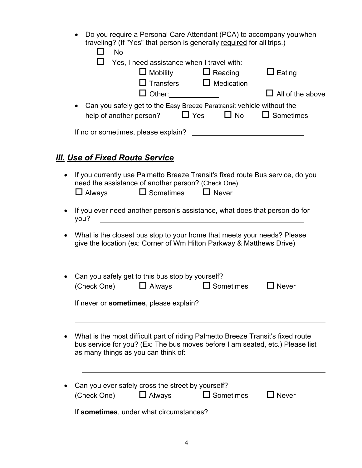| • Do you require a Personal Care Attendant (PCA) to accompany you when |
|------------------------------------------------------------------------|
| traveling? (If "Yes" that person is generally required for all trips.) |

| <b>No</b>                                                                         |                                                                               |                                                                                                                                                                                                                                                                                                                                                                                                                                                                                                                                                                                                                                                                                                                                                                                                                                      |
|-----------------------------------------------------------------------------------|-------------------------------------------------------------------------------|--------------------------------------------------------------------------------------------------------------------------------------------------------------------------------------------------------------------------------------------------------------------------------------------------------------------------------------------------------------------------------------------------------------------------------------------------------------------------------------------------------------------------------------------------------------------------------------------------------------------------------------------------------------------------------------------------------------------------------------------------------------------------------------------------------------------------------------|
| Yes, I need assistance when I travel with:<br>$\Box$ Mobility                     |                                                                               | $\Box$ Eating<br>All of the above                                                                                                                                                                                                                                                                                                                                                                                                                                                                                                                                                                                                                                                                                                                                                                                                    |
| help of another person?                                                           |                                                                               | $\Box$ Sometimes                                                                                                                                                                                                                                                                                                                                                                                                                                                                                                                                                                                                                                                                                                                                                                                                                     |
|                                                                                   |                                                                               |                                                                                                                                                                                                                                                                                                                                                                                                                                                                                                                                                                                                                                                                                                                                                                                                                                      |
| <u>III. Use of Fixed Route Service</u>                                            |                                                                               |                                                                                                                                                                                                                                                                                                                                                                                                                                                                                                                                                                                                                                                                                                                                                                                                                                      |
|                                                                                   |                                                                               |                                                                                                                                                                                                                                                                                                                                                                                                                                                                                                                                                                                                                                                                                                                                                                                                                                      |
|                                                                                   |                                                                               |                                                                                                                                                                                                                                                                                                                                                                                                                                                                                                                                                                                                                                                                                                                                                                                                                                      |
|                                                                                   |                                                                               |                                                                                                                                                                                                                                                                                                                                                                                                                                                                                                                                                                                                                                                                                                                                                                                                                                      |
| $\Box$ Always<br>(Check One)                                                      |                                                                               | <b>Never</b>                                                                                                                                                                                                                                                                                                                                                                                                                                                                                                                                                                                                                                                                                                                                                                                                                         |
|                                                                                   |                                                                               |                                                                                                                                                                                                                                                                                                                                                                                                                                                                                                                                                                                                                                                                                                                                                                                                                                      |
|                                                                                   |                                                                               |                                                                                                                                                                                                                                                                                                                                                                                                                                                                                                                                                                                                                                                                                                                                                                                                                                      |
|                                                                                   |                                                                               |                                                                                                                                                                                                                                                                                                                                                                                                                                                                                                                                                                                                                                                                                                                                                                                                                                      |
| Can you ever safely cross the street by yourself?<br>$\Box$ Always<br>(Check One) | $\Box$ Sometimes                                                              | $\gimel$ Never                                                                                                                                                                                                                                                                                                                                                                                                                                                                                                                                                                                                                                                                                                                                                                                                                       |
|                                                                                   | If never or sometimes, please explain?<br>as many things as you can think of: | $\Box$ Reading<br>$\Box$ Transfers $\Box$ Medication<br>□ Other:_____________<br>Can you safely get to the Easy Breeze Paratransit vehicle without the<br>$\Box$ Yes $\Box$ No<br>If you currently use Palmetto Breeze Transit's fixed route Bus service, do you<br>need the assistance of another person? (Check One)<br>$\Box$ Sometimes $\Box$ Never<br>If you ever need another person's assistance, what does that person do for<br>What is the closest bus stop to your home that meets your needs? Please<br>give the location (ex: Corner of Wm Hilton Parkway & Matthews Drive)<br>Can you safely get to this bus stop by yourself?<br>$\Box$ Sometimes<br>What is the most difficult part of riding Palmetto Breeze Transit's fixed route<br>bus service for you? (Ex: The bus moves before I am seated, etc.) Please list |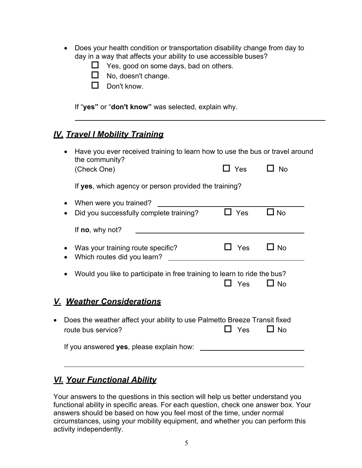- Does your health condition or transportation disability change from day to day in a way that affects your ability to use accessible buses?
	- $\Box$  Yes, good on some days, bad on others.
	- $\Box$  No, doesn't change.
	- $\Box$  Don't know.

If "**yes"** or "**don't know"** was selected, explain why.

# *IV. Travel I Mobility Training*

|           | Have you ever received training to learn how to use the bus or travel around<br>the community? |            |           |  |
|-----------|------------------------------------------------------------------------------------------------|------------|-----------|--|
|           | (Check One)                                                                                    | $\Box$ Yes | $\Box$ No |  |
|           | If yes, which agency or person provided the training?                                          |            |           |  |
|           | When were you trained?                                                                         |            |           |  |
|           | Did you successfully complete training?                                                        | $\Box$ Yes | $\Box$ No |  |
|           | If $no$ , why not?                                                                             |            |           |  |
|           |                                                                                                |            |           |  |
|           | Was your training route specific?                                                              | $\Box$ Yes | $\Box$ No |  |
|           | Which routes did you learn?                                                                    |            |           |  |
|           |                                                                                                |            |           |  |
|           | Would you like to participate in free training to learn to ride the bus?                       |            |           |  |
|           |                                                                                                | <b>Yes</b> | $\Box$ No |  |
|           | <u>V. Weather Considerations</u>                                                               |            |           |  |
| $\bullet$ | Does the weather affect your ability to use Palmetto Breeze Transit fixed                      |            |           |  |
|           | route bus service?                                                                             | Yes        | $\Box$ No |  |
|           | If you answered yes, please explain how:                                                       |            |           |  |

#### *VI. Your Functional Ability*

Your answers to the questions in this section will help us better understand you functional ability in specific areas. For each question, check one answer box. Your answers should be based on how you feel most of the time, under normal circumstances, using your mobility equipment, and whether you can perform this activity independently.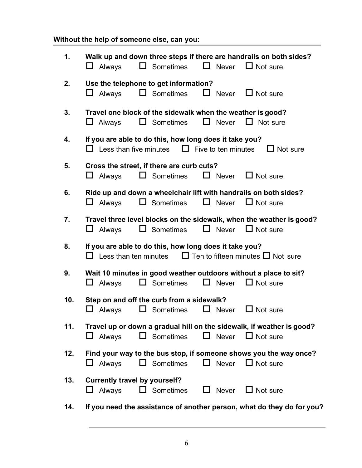# **Without the help of someone else, can you:**

| 1.  | Walk up and down three steps if there are handrails on both sides?<br>$\Box$ Never<br>$\Box$ Not sure<br>$\Box$ Sometimes<br>$\Box$ Always   |
|-----|----------------------------------------------------------------------------------------------------------------------------------------------|
| 2.  | Use the telephone to get information?<br>$\Box$ Never $\Box$ Not sure<br>$\Box$ Sometimes<br>⊔<br>Always                                     |
| 3.  | Travel one block of the sidewalk when the weather is good?<br>$\Box$ Never<br>$\Box$ Not sure<br>Always<br>$\Box$ Sometimes<br>⊔             |
| 4.  | If you are able to do this, how long does it take you?<br>$\Box$ Less than five minutes $\Box$ Five to ten minutes<br>$\Box$ Not sure        |
| 5.  | Cross the street, if there are curb cuts?<br>$\Box$ Never $\Box$ Not sure<br>$\Box$ Sometimes<br>$\Box$ Always                               |
| 6.  | Ride up and down a wheelchair lift with handrails on both sides?<br>$\Box$ Never<br>$\Box$ Not sure<br>$\Box$ Sometimes<br>$\Box$ Always     |
| 7.  | Travel three level blocks on the sidewalk, when the weather is good?<br>$\Box$ Not sure<br>$\Box$ Never<br>$\Box$ Sometimes<br>$\Box$ Always |
| 8.  | If you are able to do this, how long does it take you?<br>$\Box$ Ten to fifteen minutes $\Box$ Not sure<br>$\Box$ Less than ten minutes      |
| 9.  | Wait 10 minutes in good weather outdoors without a place to sit?<br>$\Box$ Sometimes<br>$\Box$ Never<br>$\Box$ Not sure<br>$\Box$ Always     |
| 10. | Step on and off the curb from a sidewalk?<br>$\Box$ Never<br>$\Box$ Sometimes<br>Always<br>$\Box$ Not sure                                   |
| 11. | Travel up or down a gradual hill on the sidewalk, if weather is good?<br>$\Box$ Sometimes $\Box$ Never $\Box$ Not sure<br>$\Box$ Always      |
| 12. | Find your way to the bus stop, if someone shows you the way once?<br>$\Box$ Sometimes<br>$\Box$ Never $\Box$ Not sure<br>$\Box$ Always       |
| 13. | <b>Currently travel by yourself?</b><br>$\Box$ Sometimes $\Box$ Never $\Box$ Not sure<br>$\Box$ Always                                       |
| 14. | If you need the assistance of another person, what do they do for you?                                                                       |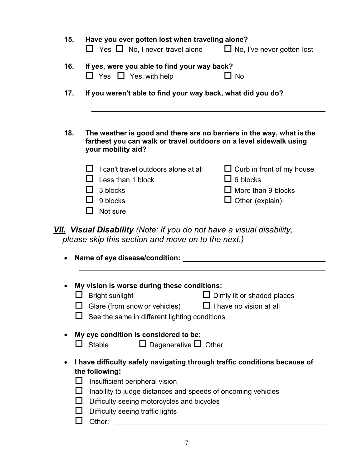| 15.                                                                                                                                                                                                                                                                                                                                               | Have you ever gotten lost when traveling alone?<br>$\Box$ Yes $\Box$ No, I never travel alone $\Box$ No, I've never gotten lost                                                                                         |                                                                                                            |  |
|---------------------------------------------------------------------------------------------------------------------------------------------------------------------------------------------------------------------------------------------------------------------------------------------------------------------------------------------------|-------------------------------------------------------------------------------------------------------------------------------------------------------------------------------------------------------------------------|------------------------------------------------------------------------------------------------------------|--|
| 16.                                                                                                                                                                                                                                                                                                                                               | If yes, were you able to find your way back?<br>$\Box$ Yes $\Box$ Yes, with help                                                                                                                                        | $\Box$ No                                                                                                  |  |
| 17.                                                                                                                                                                                                                                                                                                                                               | If you weren't able to find your way back, what did you do?                                                                                                                                                             |                                                                                                            |  |
| 18.                                                                                                                                                                                                                                                                                                                                               | The weather is good and there are no barriers in the way, what is the<br>farthest you can walk or travel outdoors on a level sidewalk using<br>your mobility aid?                                                       |                                                                                                            |  |
|                                                                                                                                                                                                                                                                                                                                                   | I can't travel outdoors alone at all<br>Less than 1 block<br>3 blocks<br>H<br>9 blocks<br>Not sure                                                                                                                      | $\Box$ Curb in front of my house<br>$\Box$ 6 blocks<br>$\Box$ More than 9 blocks<br>$\Box$ Other (explain) |  |
| <b>VII.</b> Visual Disability (Note: If you do not have a visual disability,<br>please skip this section and move on to the next.)<br>٠                                                                                                                                                                                                           |                                                                                                                                                                                                                         |                                                                                                            |  |
|                                                                                                                                                                                                                                                                                                                                                   | My vision is worse during these conditions:<br><b>Bright sunlight</b><br>Dimly lit or shaded places<br>$\Box$ I have no vision at all<br>Glare (from snow or vehicles)<br>See the same in different lighting conditions |                                                                                                            |  |
|                                                                                                                                                                                                                                                                                                                                                   | My eye condition is considered to be:<br>$\Box$ Degenerative $\Box$ Other $\Box$<br><b>Stable</b>                                                                                                                       |                                                                                                            |  |
| I have difficulty safely navigating through traffic conditions because of<br>the following:<br>Insufficient peripheral vision<br>ப<br>$\Box$<br>Inability to judge distances and speeds of oncoming vehicles<br>Difficulty seeing motorcycles and bicycles<br>$\Box$<br>$\mathcal{L}_{\mathcal{A}}$<br>Difficulty seeing traffic lights<br>Other: |                                                                                                                                                                                                                         |                                                                                                            |  |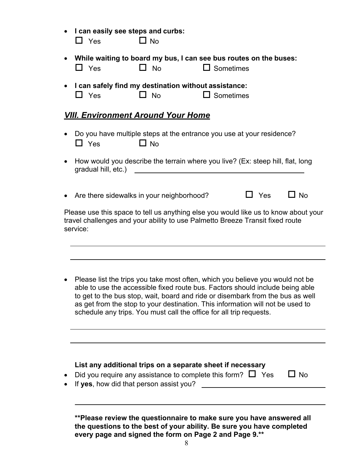| I can easily see steps and curbs:<br>$\Box$ Yes                                                                                                                                                                                                                                                                  | $\square$ No                                                                   |                  |            |           |
|------------------------------------------------------------------------------------------------------------------------------------------------------------------------------------------------------------------------------------------------------------------------------------------------------------------|--------------------------------------------------------------------------------|------------------|------------|-----------|
| $\Box$ Yes                                                                                                                                                                                                                                                                                                       | While waiting to board my bus, I can see bus routes on the buses:<br><b>No</b> | $\Box$ Sometimes |            |           |
| $\Box$ Yes                                                                                                                                                                                                                                                                                                       | I can safely find my destination without assistance:<br>$\square$ No           | $\Box$ Sometimes |            |           |
| <u>VIII. Environment Around Your Home</u>                                                                                                                                                                                                                                                                        |                                                                                |                  |            |           |
| Do you have multiple steps at the entrance you use at your residence?<br>$\Box$ Yes<br>$\Box$ No                                                                                                                                                                                                                 |                                                                                |                  |            |           |
| How would you describe the terrain where you live? (Ex: steep hill, flat, long<br>gradual hill, etc.) and the state of the state of the state of the state of the state of the state of the state of the state of the state of the state of the state of the state of the state of the state of the state of the |                                                                                |                  |            |           |
|                                                                                                                                                                                                                                                                                                                  | Are there sidewalks in your neighborhood?                                      |                  | <b>Yes</b> | $\Box$ No |
| Please use this space to tell us anything else you would like us to know about your<br>travel challenges and your ability to use Palmetto Breeze Transit fixed route<br>service:                                                                                                                                 |                                                                                |                  |            |           |

• Please list the trips you take most often, which you believe you would not be able to use the accessible fixed route bus. Factors should include being able to get to the bus stop, wait, board and ride or disembark from the bus as well as get from the stop to your destination. This information will not be used to schedule any trips. You must call the office for all trip requests.

| List any additional trips on a separate sheet if necessary         |           |
|--------------------------------------------------------------------|-----------|
| • Did you require any assistance to complete this form? $\Box$ Yes | $\Box$ No |
| • If yes, how did that person assist you?                          |           |

**\*\*Please review the questionnaire to make sure you have answered all the questions to the best of your ability. Be sure you have completed every page and signed the form on Page 2 and Page 9.\*\***